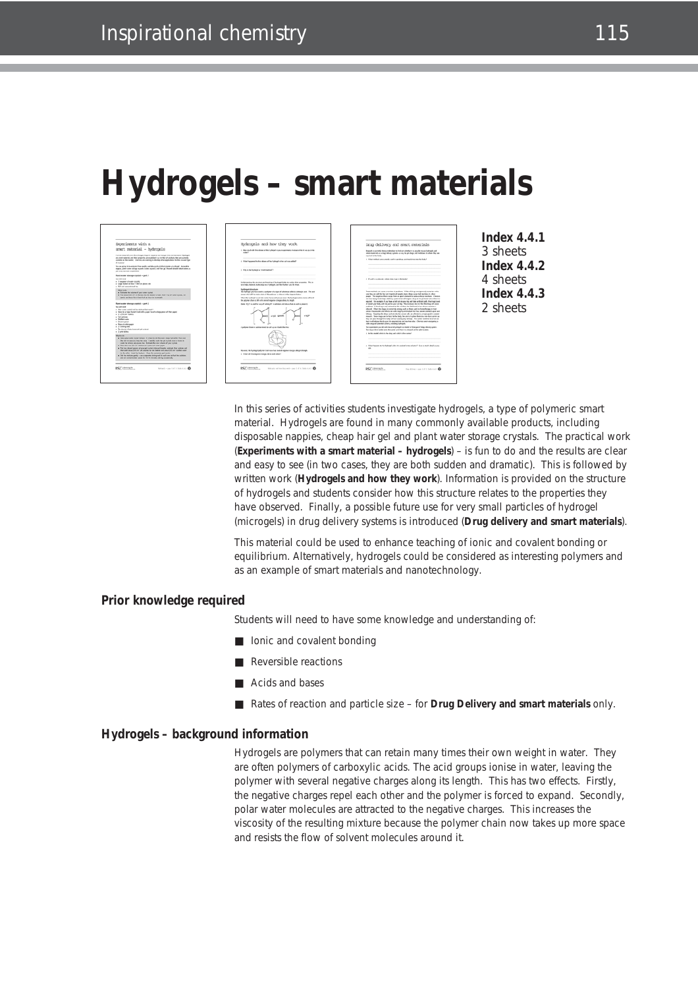# **Hydrogels – smart materials**



In this series of activities students investigate hydrogels, a type of polymeric smart material. Hydrogels are found in many commonly available products, including disposable nappies, cheap hair gel and plant water storage crystals. The practical work (**Experiments with a smart material – hydrogels**) – is fun to do and the results are clear and easy to see (in two cases, they are both sudden and dramatic). This is followed by written work (**Hydrogels and how they work**). Information is provided on the structure of hydrogels and students consider how this structure relates to the properties they have observed. Finally, a possible future use for very small particles of hydrogel (microgels) in drug delivery systems is introduced (**Drug delivery and smart materials**).

This material could be used to enhance teaching of ionic and covalent bonding or equilibrium. Alternatively, hydrogels could be considered as interesting polymers and as an example of smart materials and nanotechnology.

## **Prior knowledge required**

Students will need to have some knowledge and understanding of:

- lonic and covalent bonding
- Reversible reactions
- Acids and bases
- Rates of reaction and particle size for **Drug Delivery and smart materials** only.

#### **Hydrogels – background information**

Hydrogels are polymers that can retain many times their own weight in water. They are often polymers of carboxylic acids. The acid groups ionise in water, leaving the polymer with several negative charges along its length. This has two effects. Firstly, the negative charges repel each other and the polymer is forced to expand. Secondly, polar water molecules are attracted to the negative charges. This increases the viscosity of the resulting mixture because the polymer chain now takes up more space and resists the flow of solvent molecules around it.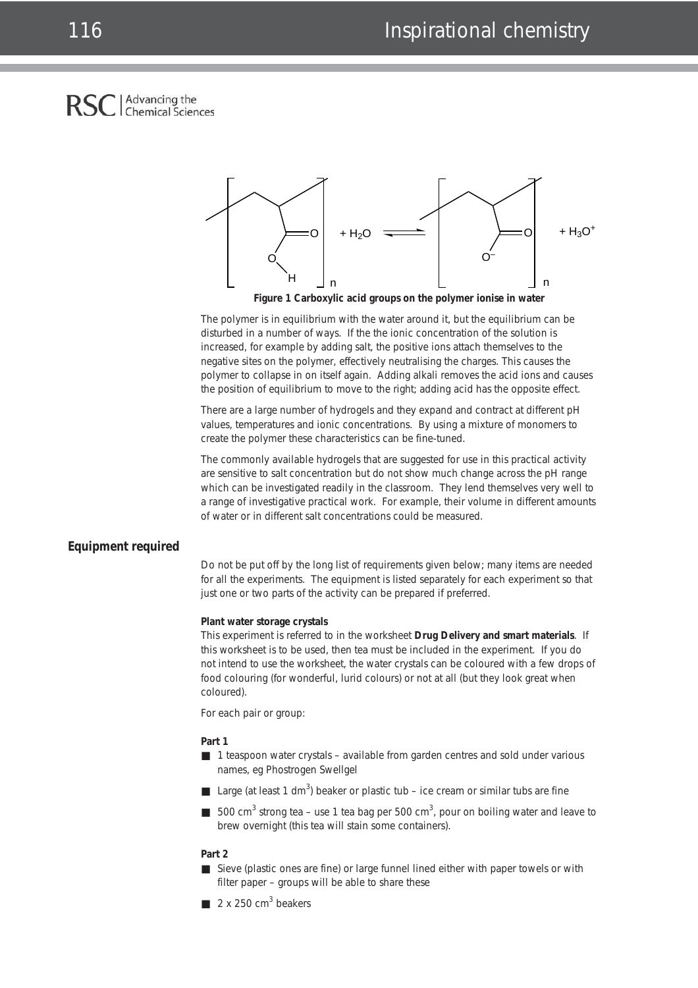## Advancing the **Chemical Sciences**



**Figure 1 Carboxylic acid groups on the polymer ionise in water**

The polymer is in equilibrium with the water around it, but the equilibrium can be disturbed in a number of ways. If the the ionic concentration of the solution is increased, for example by adding salt, the positive ions attach themselves to the negative sites on the polymer, effectively neutralising the charges. This causes the polymer to collapse in on itself again. Adding alkali removes the acid ions and causes the position of equilibrium to move to the right; adding acid has the opposite effect.

There are a large number of hydrogels and they expand and contract at different pH values, temperatures and ionic concentrations. By using a mixture of monomers to create the polymer these characteristics can be fine-tuned.

The commonly available hydrogels that are suggested for use in this practical activity are sensitive to salt concentration but do not show much change across the pH range which can be investigated readily in the classroom. They lend themselves very well to a range of investigative practical work. For example, their volume in different amounts of water or in different salt concentrations could be measured.

## **Equipment required**

Do not be put off by the long list of requirements given below; many items are needed for all the experiments. The equipment is listed separately for each experiment so that just one or two parts of the activity can be prepared if preferred.

#### **Plant water storage crystals**

This experiment is referred to in the worksheet **Drug Delivery and smart materials**. If this worksheet is to be used, then tea must be included in the experiment. If you do not intend to use the worksheet, the water crystals can be coloured with a few drops of food colouring (for wonderful, lurid colours) or not at all (but they look great when coloured).

*For each pair or group:*

#### **Part 1**

- 1 teaspoon water crystals available from garden centres and sold under various names, *eg* Phostrogen Swellgel
- Large (at least 1 dm<sup>3</sup>) beaker or plastic tub ice cream or similar tubs are fine
- 500 cm<sup>3</sup> strong tea use 1 tea bag per 500 cm<sup>3</sup>, pour on boiling water and leave to brew overnight (this tea will stain some containers).

#### **Part 2**

- Sieve (plastic ones are fine) or large funnel lined either with paper towels or with filter paper – groups will be able to share these
- $\blacksquare$  2 x 250 cm<sup>3</sup> beakers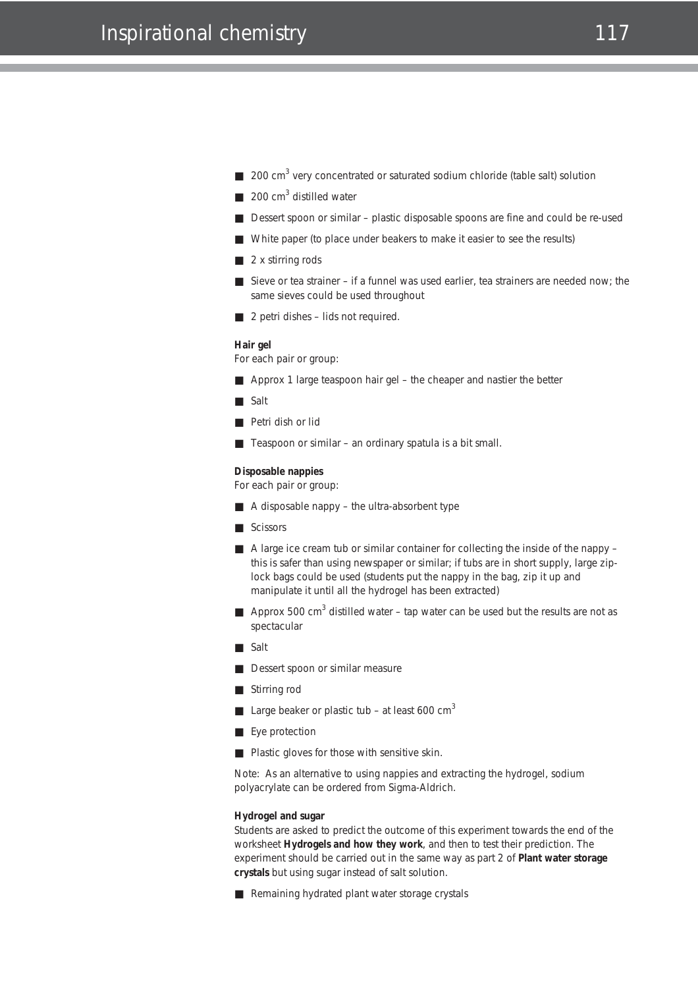- $\Box$  200 cm<sup>3</sup> very concentrated or saturated sodium chloride (table salt) solution
- $\Box$  200 cm<sup>3</sup> distilled water
- Dessert spoon or similar plastic disposable spoons are fine and could be re-used
- White paper (to place under beakers to make it easier to see the results)
- 2 x stirring rods
- Sieve or tea strainer if a funnel was used earlier, tea strainers are needed now; the same sieves could be used throughout
- 2 petri dishes lids not required.

#### **Hair gel**

For each pair or group:

- Approx 1 large teaspoon hair gel the cheaper and nastier the better
- Salt
- Petri dish or lid
- Teaspoon or similar an ordinary spatula is a bit small.

### **Disposable nappies**

For each pair or group:

- A disposable nappy the ultra-absorbent type
- Scissors
- A large ice cream tub or similar container for collecting the inside of the nappy this is safer than using newspaper or similar; if tubs are in short supply, large ziplock bags could be used (students put the nappy in the bag, zip it up and manipulate it until all the hydrogel has been extracted)
- **Approx** 500 cm<sup>3</sup> distilled water tap water can be used but the results are not as spectacular
- Salt
- Dessert spoon or similar measure
- Stirring rod
- Large beaker or plastic tub at least 600  $cm<sup>3</sup>$
- Eye protection
- Plastic gloves for those with sensitive skin.

Note: As an alternative to using nappies and extracting the hydrogel, sodium polyacrylate can be ordered from Sigma-Aldrich.

#### **Hydrogel and sugar**

Students are asked to predict the outcome of this experiment towards the end of the worksheet **Hydrogels and how they work**, and then to test their prediction. The experiment should be carried out in the same way as part 2 of **Plant water storage crystals** but using sugar instead of salt solution.

■ Remaining hydrated plant water storage crystals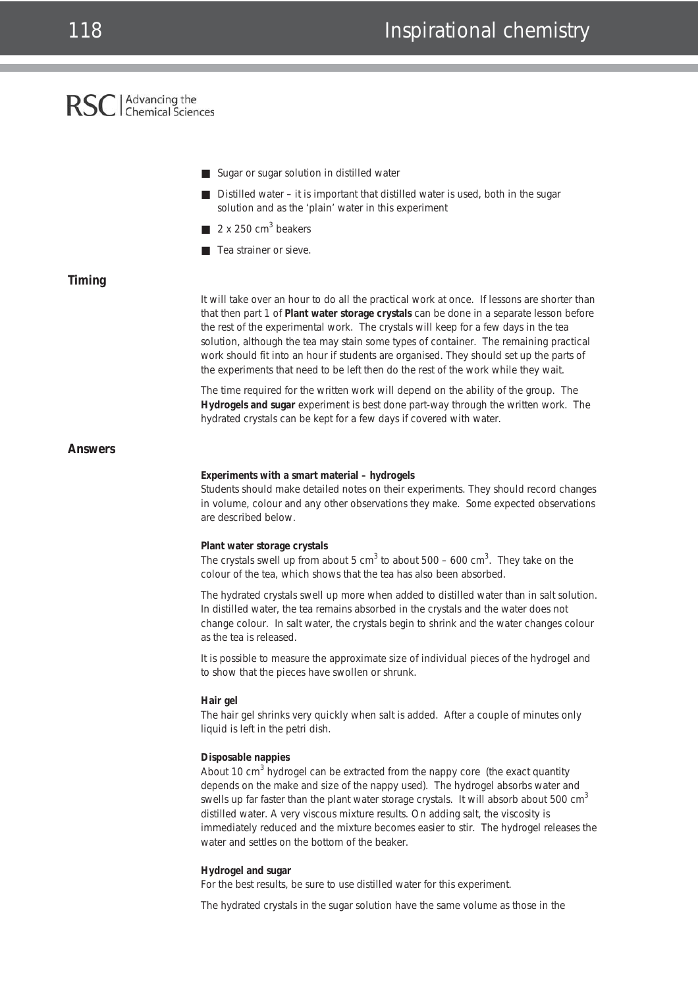## RSC | Advancing the

|                | Sugar or sugar solution in distilled water                                                                                                                                                                                                                                                                                                                                                                                                                                                                                                               |
|----------------|----------------------------------------------------------------------------------------------------------------------------------------------------------------------------------------------------------------------------------------------------------------------------------------------------------------------------------------------------------------------------------------------------------------------------------------------------------------------------------------------------------------------------------------------------------|
|                | ■ Distilled water – it is important that distilled water is used, both in the sugar<br>solution and as the 'plain' water in this experiment                                                                                                                                                                                                                                                                                                                                                                                                              |
|                | 2 x 250 $cm3$ beakers                                                                                                                                                                                                                                                                                                                                                                                                                                                                                                                                    |
|                | Tea strainer or sieve.                                                                                                                                                                                                                                                                                                                                                                                                                                                                                                                                   |
| Timing         |                                                                                                                                                                                                                                                                                                                                                                                                                                                                                                                                                          |
|                | It will take over an hour to do all the practical work at once. If lessons are shorter than<br>that then part 1 of Plant water storage crystals can be done in a separate lesson before<br>the rest of the experimental work. The crystals will keep for a few days in the tea<br>solution, although the tea may stain some types of container. The remaining practical<br>work should fit into an hour if students are organised. They should set up the parts of<br>the experiments that need to be left then do the rest of the work while they wait. |
|                | The time required for the written work will depend on the ability of the group. The<br>Hydrogels and sugar experiment is best done part-way through the written work. The<br>hydrated crystals can be kept for a few days if covered with water.                                                                                                                                                                                                                                                                                                         |
| <b>Answers</b> |                                                                                                                                                                                                                                                                                                                                                                                                                                                                                                                                                          |
|                | Experiments with a smart material - hydrogels<br>Students should make detailed notes on their experiments. They should record changes<br>in volume, colour and any other observations they make. Some expected observations<br>are described below.                                                                                                                                                                                                                                                                                                      |
|                | Plant water storage crystals<br>The crystals swell up from about 5 cm <sup>3</sup> to about 500 – 600 cm <sup>3</sup> . They take on the<br>colour of the tea, which shows that the tea has also been absorbed.                                                                                                                                                                                                                                                                                                                                          |
|                | The hydrated crystals swell up more when added to distilled water than in salt solution.<br>In distilled water, the tea remains absorbed in the crystals and the water does not<br>change colour. In salt water, the crystals begin to shrink and the water changes colour<br>as the tea is released.                                                                                                                                                                                                                                                    |
|                | It is possible to measure the approximate size of individual pieces of the hydrogel and<br>to show that the pieces have swollen or shrunk.                                                                                                                                                                                                                                                                                                                                                                                                               |
|                | Hair gel<br>The hair gel shrinks very quickly when salt is added. After a couple of minutes only<br>liquid is left in the petri dish.                                                                                                                                                                                                                                                                                                                                                                                                                    |
|                | Disposable nappies<br>About 10 cm <sup>3</sup> hydrogel can be extracted from the nappy core (the exact quantity<br>depends on the make and size of the nappy used). The hydrogel absorbs water and<br>swells up far faster than the plant water storage crystals. It will absorb about 500 cm <sup>3</sup><br>distilled water. A very viscous mixture results. On adding salt, the viscosity is<br>immediately reduced and the mixture becomes easier to stir. The hydrogel releases the<br>water and settles on the bottom of the beaker.              |
|                | Hydrogel and sugar<br>For the best results, be sure to use distilled water for this experiment.                                                                                                                                                                                                                                                                                                                                                                                                                                                          |

The hydrated crystals in the sugar solution have the same volume as those in the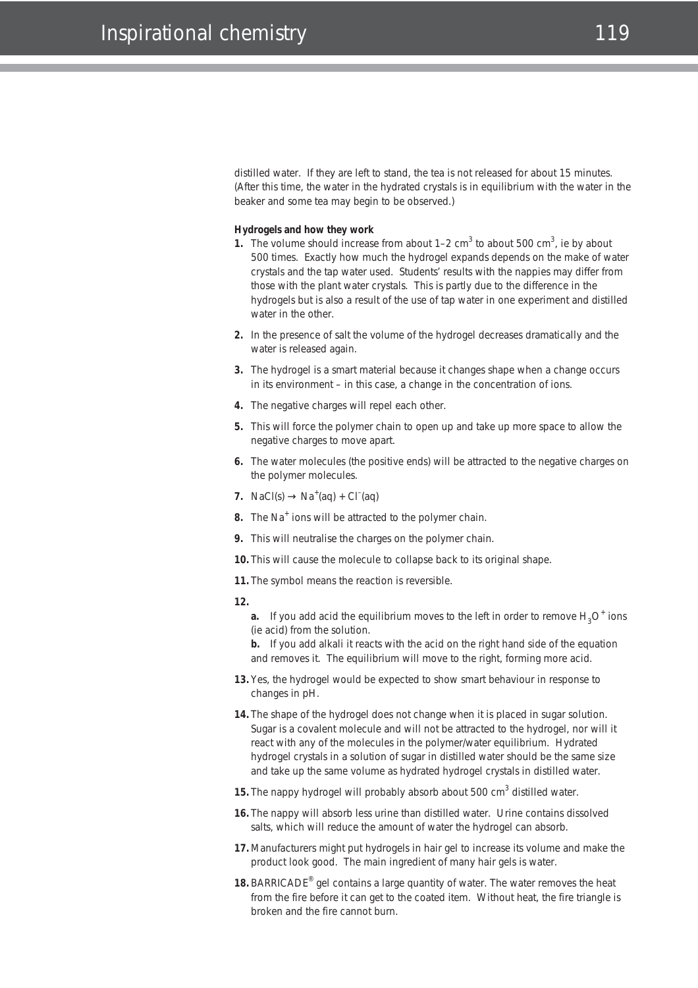distilled water. If they are left to stand, the tea is not released for about 15 minutes. (After this time, the water in the hydrated crystals is in equilibrium with the water in the beaker and some tea may begin to be observed.)

#### **Hydrogels and how they work**

- **1.** The volume should increase from about 1–2 cm<sup>3</sup> to about 500 cm<sup>3</sup>, *ie* by about 500 times. Exactly how much the hydrogel expands depends on the make of water crystals and the tap water used. Students' results with the nappies may differ from those with the plant water crystals. This is partly due to the difference in the hydrogels but is also a result of the use of tap water in one experiment and distilled water in the other.
- **2.** In the presence of salt the volume of the hydrogel decreases dramatically and the water is released again.
- **3.** The hydrogel is a smart material because it changes shape when a change occurs in its environment – in this case, a change in the concentration of ions.
- **4.** The negative charges will repel each other.
- **5.** This will force the polymer chain to open up and take up more space to allow the negative charges to move apart.
- **6.** The water molecules (the positive ends) will be attracted to the negative charges on the polymer molecules.
- **7.** NaCl(s)  $\rightarrow$  Na<sup>+</sup>(aq) + Cl<sup>-</sup>(aq)
- **8.** The Na<sup>+</sup> ions will be attracted to the polymer chain.
- **9.** This will neutralise the charges on the polymer chain.
- **10.** This will cause the molecule to collapse back to its original shape.
- **11.** The symbol means the reaction is reversible.
- **12.**

**a.** If you add acid the equilibrium moves to the left in order to remove  $H_3O^+$  ions (*ie* acid) from the solution.

**b.** If you add alkali it reacts with the acid on the right hand side of the equation and removes it. The equilibrium will move to the right, forming more acid.

- **13.** Yes, the hydrogel would be expected to show smart behaviour in response to changes in pH.
- **14.** The shape of the hydrogel does not change when it is placed in sugar solution. Sugar is a covalent molecule and will not be attracted to the hydrogel, nor will it react with any of the molecules in the polymer/water equilibrium. Hydrated hydrogel crystals in a solution of sugar in distilled water should be the same size and take up the same volume as hydrated hydrogel crystals in distilled water.
- **15.** The nappy hydrogel will probably absorb about 500 cm<sup>3</sup> distilled water.
- **16.** The nappy will absorb less urine than distilled water. Urine contains dissolved salts, which will reduce the amount of water the hydrogel can absorb.
- **17.** Manufacturers might put hydrogels in hair gel to increase its volume and make the product look good. The main ingredient of many hair gels is water.
- **18.** BARRICADE® gel contains a large quantity of water. The water removes the heat from the fire before it can get to the coated item. Without heat, the fire triangle is broken and the fire cannot burn.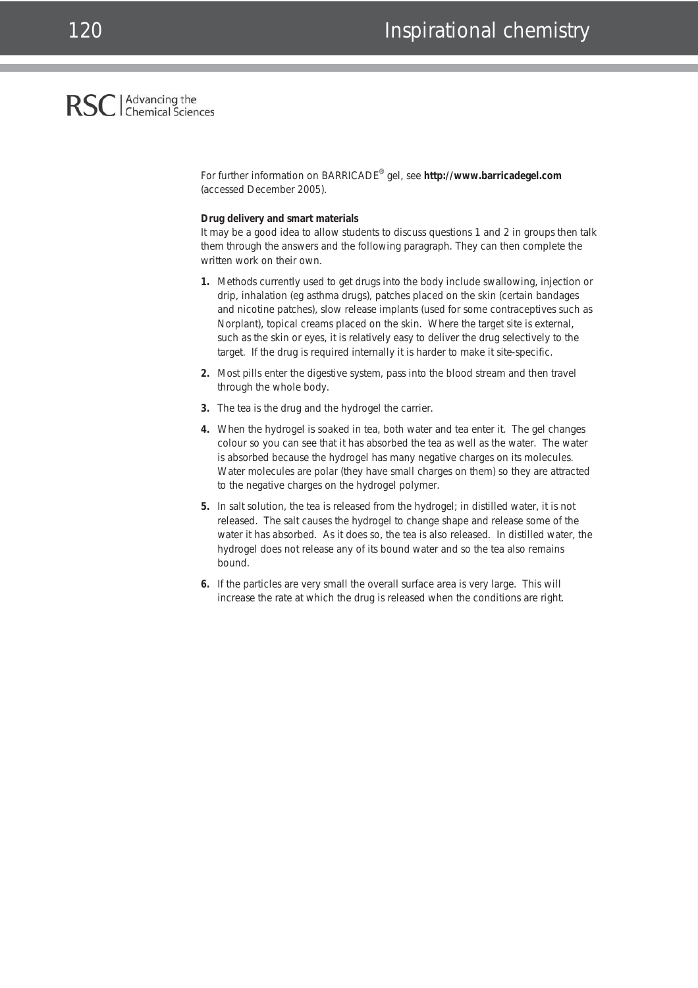## Advancing the<br>Chemical Sciences **RSC**

For further information on BARRICADE® gel, see **http://www.barricadegel.com** (accessed December 2005).

#### **Drug delivery and smart materials**

It may be a good idea to allow students to discuss questions 1 and 2 in groups then talk them through the answers and the following paragraph. They can then complete the written work on their own.

- **1.** Methods currently used to get drugs into the body include swallowing, injection or drip, inhalation (*eg* asthma drugs), patches placed on the skin (certain bandages and nicotine patches), slow release implants (used for some contraceptives such as Norplant), topical creams placed on the skin. Where the target site is external, such as the skin or eyes, it is relatively easy to deliver the drug selectively to the target. If the drug is required internally it is harder to make it site-specific.
- **2.** Most pills enter the digestive system, pass into the blood stream and then travel through the whole body.
- **3.** The tea is the drug and the hydrogel the carrier.
- **4.** When the hydrogel is soaked in tea, both water and tea enter it. The gel changes colour so you can see that it has absorbed the tea as well as the water. The water is absorbed because the hydrogel has many negative charges on its molecules. Water molecules are polar (they have small charges on them) so they are attracted to the negative charges on the hydrogel polymer.
- **5.** In salt solution, the tea is released from the hydrogel; in distilled water, it is not released. The salt causes the hydrogel to change shape and release some of the water it has absorbed. As it does so, the tea is also released. In distilled water, the hydrogel does not release any of its bound water and so the tea also remains bound.
- **6.** If the particles are very small the overall surface area is very large. This will increase the rate at which the drug is released when the conditions are right.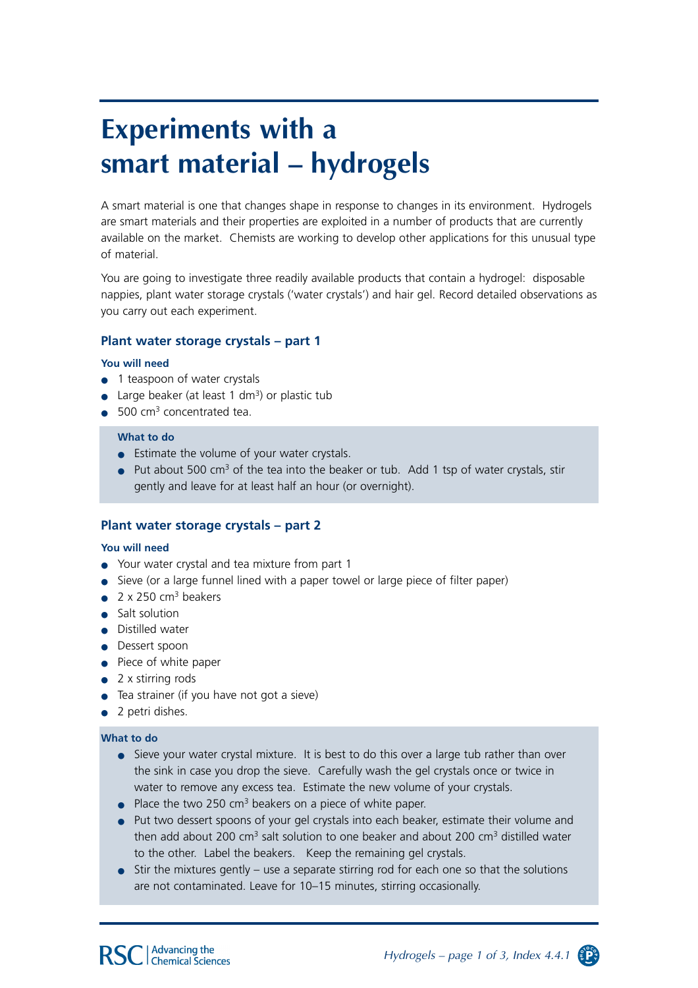## **Experiments with a smart material – hydrogels**

A smart material is one that changes shape in response to changes in its environment. Hydrogels are smart materials and their properties are exploited in a number of products that are currently available on the market. Chemists are working to develop other applications for this unusual type of material.

You are going to investigate three readily available products that contain a hydrogel: disposable nappies, plant water storage crystals ('water crystals') and hair gel. Record detailed observations as you carry out each experiment.

## **Plant water storage crystals – part 1**

#### **You will need**

- 1 teaspoon of water crystals
- Large beaker (at least 1 dm<sup>3</sup>) or plastic tub
- $\bullet$  500 cm<sup>3</sup> concentrated tea.

#### **What to do**

- Estimate the volume of your water crystals.
- Put about 500 cm<sup>3</sup> of the tea into the beaker or tub. Add 1 tsp of water crystals, stir gently and leave for at least half an hour (or overnight).

## **Plant water storage crystals – part 2**

#### **You will need**

- Your water crystal and tea mixture from part 1
- Sieve (or a large funnel lined with a paper towel or large piece of filter paper)
- $\bullet$  2 x 250 cm<sup>3</sup> beakers
- Salt solution
- Distilled water
- Dessert spoon
- Piece of white paper
- 2 x stirring rods
- Tea strainer (if you have not got a sieve)
- 2 petri dishes.

## **What to do**

- Sieve your water crystal mixture. It is best to do this over a large tub rather than over the sink in case you drop the sieve. Carefully wash the gel crystals once or twice in water to remove any excess tea. Estimate the new volume of your crystals.
- $\bullet$  Place the two 250 cm<sup>3</sup> beakers on a piece of white paper.
- Put two dessert spoons of your gel crystals into each beaker, estimate their volume and then add about 200  $\text{cm}^3$  salt solution to one beaker and about 200  $\text{cm}^3$  distilled water to the other. Label the beakers. Keep the remaining gel crystals.
- Stir the mixtures gently use a separate stirring rod for each one so that the solutions are not contaminated. Leave for 10–15 minutes, stirring occasionally.

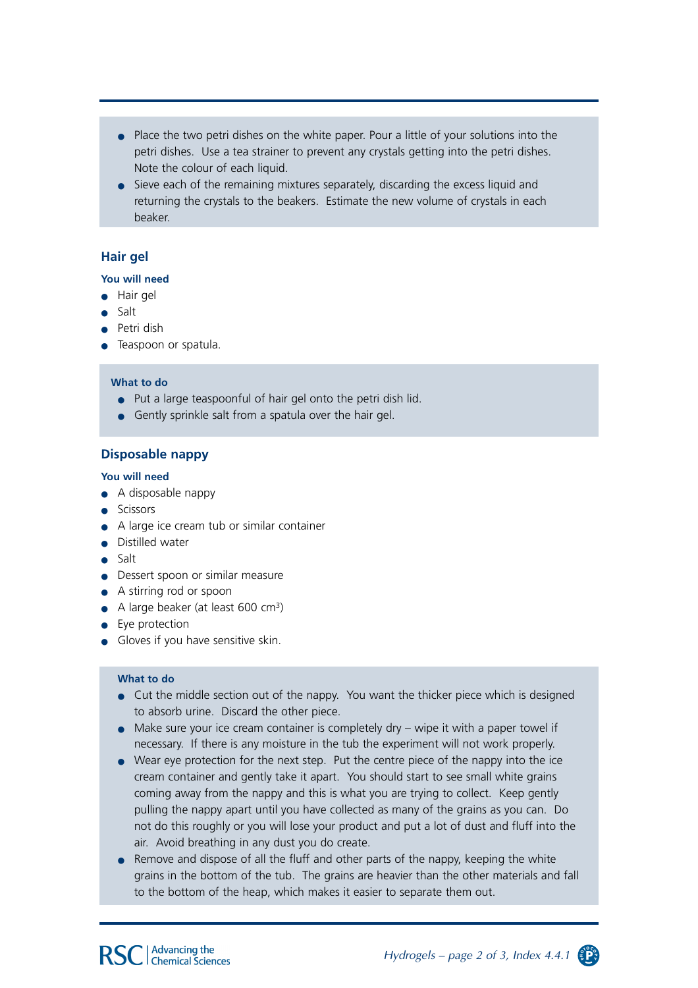- Place the two petri dishes on the white paper. Pour a little of your solutions into the petri dishes. Use a tea strainer to prevent any crystals getting into the petri dishes. Note the colour of each liquid.
- Sieve each of the remaining mixtures separately, discarding the excess liquid and returning the crystals to the beakers. Estimate the new volume of crystals in each beaker.

## **Hair gel**

### **You will need**

- Hair gel
- Salt
- Petri dish
- **•** Teaspoon or spatula.

#### **What to do**

- Put a large teaspoonful of hair gel onto the petri dish lid.
- Gently sprinkle salt from a spatula over the hair gel.

## **Disposable nappy**

#### **You will need**

- A disposable nappy
- Scissors
- A large ice cream tub or similar container
- Distilled water
- Salt
- Dessert spoon or similar measure
- A stirring rod or spoon
- $\bullet$  A large beaker (at least 600 cm<sup>3</sup>)
- Eye protection
- Gloves if you have sensitive skin.

#### **What to do**

- Cut the middle section out of the nappy. You want the thicker piece which is designed to absorb urine. Discard the other piece.
- $\bullet$  Make sure your ice cream container is completely dry wipe it with a paper towel if necessary. If there is any moisture in the tub the experiment will not work properly.
- Wear eye protection for the next step. Put the centre piece of the nappy into the ice cream container and gently take it apart. You should start to see small white grains coming away from the nappy and this is what you are trying to collect. Keep gently pulling the nappy apart until you have collected as many of the grains as you can. Do not do this roughly or you will lose your product and put a lot of dust and fluff into the air. Avoid breathing in any dust you do create.
- Remove and dispose of all the fluff and other parts of the nappy, keeping the white grains in the bottom of the tub. The grains are heavier than the other materials and fall to the bottom of the heap, which makes it easier to separate them out.

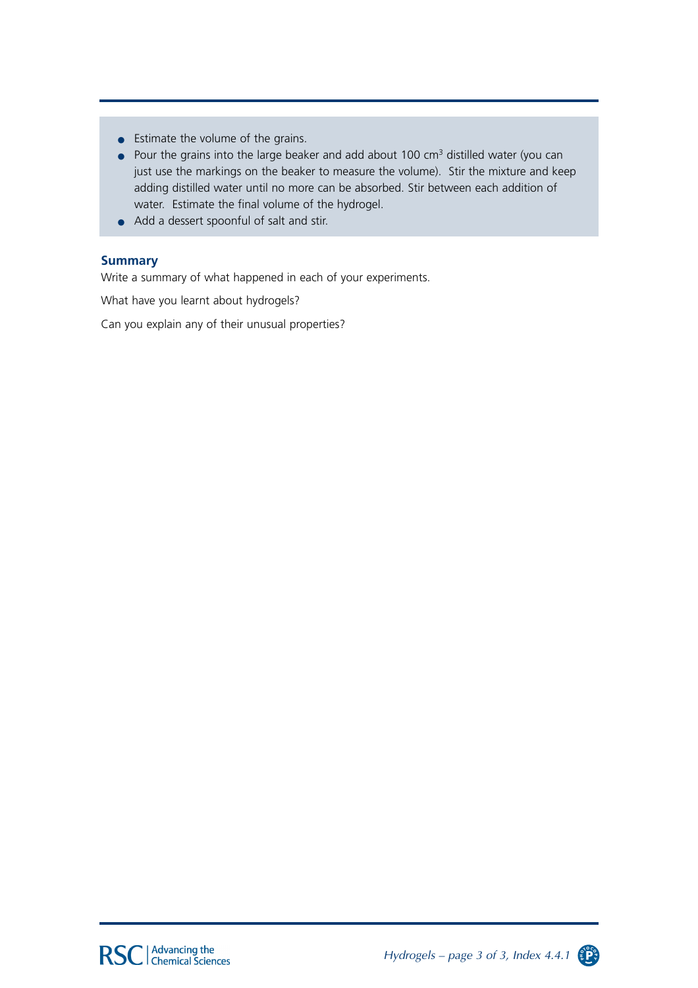- Estimate the volume of the grains.
- $\bullet$  Pour the grains into the large beaker and add about 100 cm<sup>3</sup> distilled water (you can just use the markings on the beaker to measure the volume). Stir the mixture and keep adding distilled water until no more can be absorbed. Stir between each addition of water. Estimate the final volume of the hydrogel.
- Add a dessert spoonful of salt and stir.

## **Summary**

Write a summary of what happened in each of your experiments.

What have you learnt about hydrogels?

Can you explain any of their unusual properties?

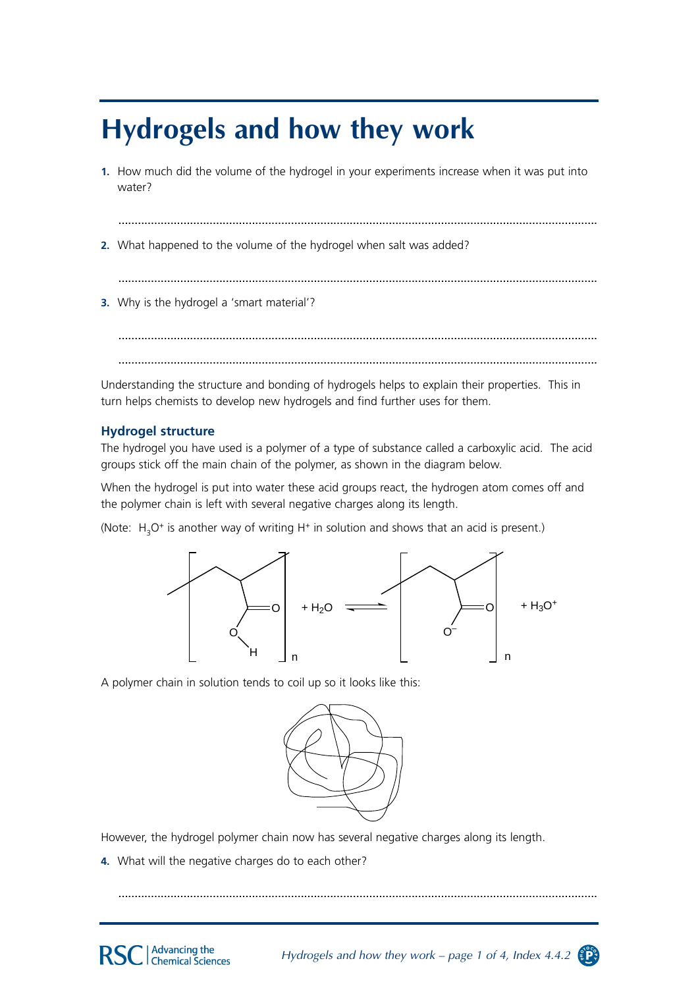## **Hydrogels and how they work**

1. How much did the volume of the hydrogel in your experiments increase when it was put into water?

2. What happened to the volume of the hydrogel when salt was added?

3. Why is the hydrogel a 'smart material'?

Understanding the structure and bonding of hydrogels helps to explain their properties. This in turn helps chemists to develop new hydrogels and find further uses for them.

## **Hydrogel structure**

The hydrogel you have used is a polymer of a type of substance called a carboxylic acid. The acid groups stick off the main chain of the polymer, as shown in the diagram below.

When the hydrogel is put into water these acid groups react, the hydrogen atom comes off and the polymer chain is left with several negative charges along its length.

(Note: H<sub>3</sub>O<sup>+</sup> is another way of writing H<sup>+</sup> in solution and shows that an acid is present.)



A polymer chain in solution tends to coil up so it looks like this:



Hydrogels and how they work – page 1 of 4, Index 4.4.2  $\circ$ 

However, the hydrogel polymer chain now has several negative charges along its length.

4. What will the negative charges do to each other?

**Advancing the** 

**Chemical Sciences**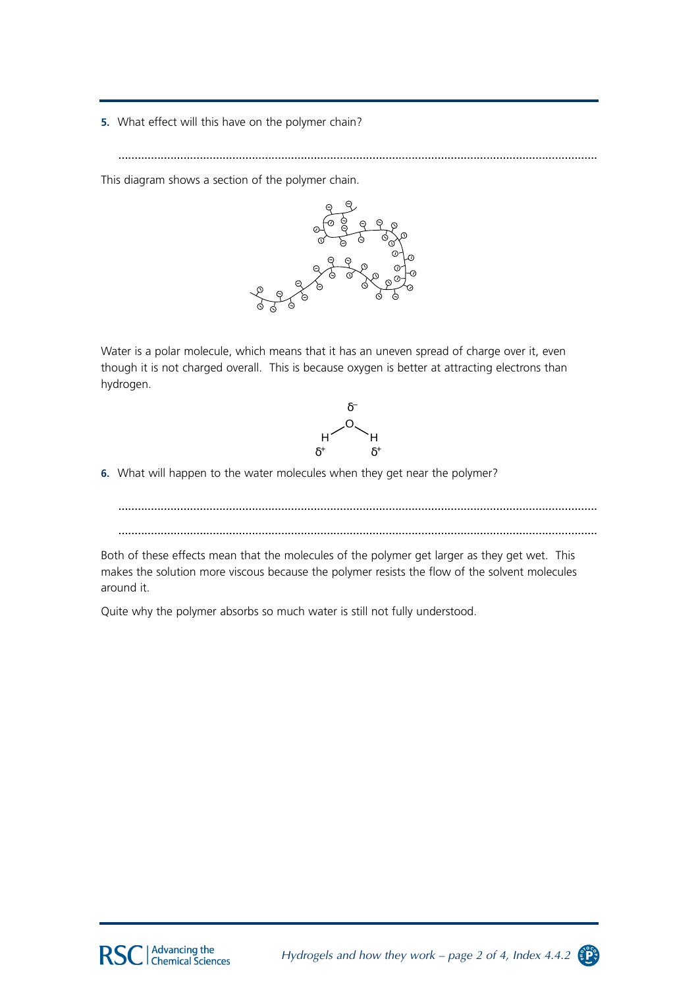5. What effect will this have on the polymer chain?

This diagram shows a section of the polymer chain.



Water is a polar molecule, which means that it has an uneven spread of charge over it, even though it is not charged overall. This is because oxygen is better at attracting electrons than hydrogen.



6. What will happen to the water molecules when they get near the polymer?

Both of these effects mean that the molecules of the polymer get larger as they get wet. This makes the solution more viscous because the polymer resists the flow of the solvent molecules around it.

Quite why the polymer absorbs so much water is still not fully understood.

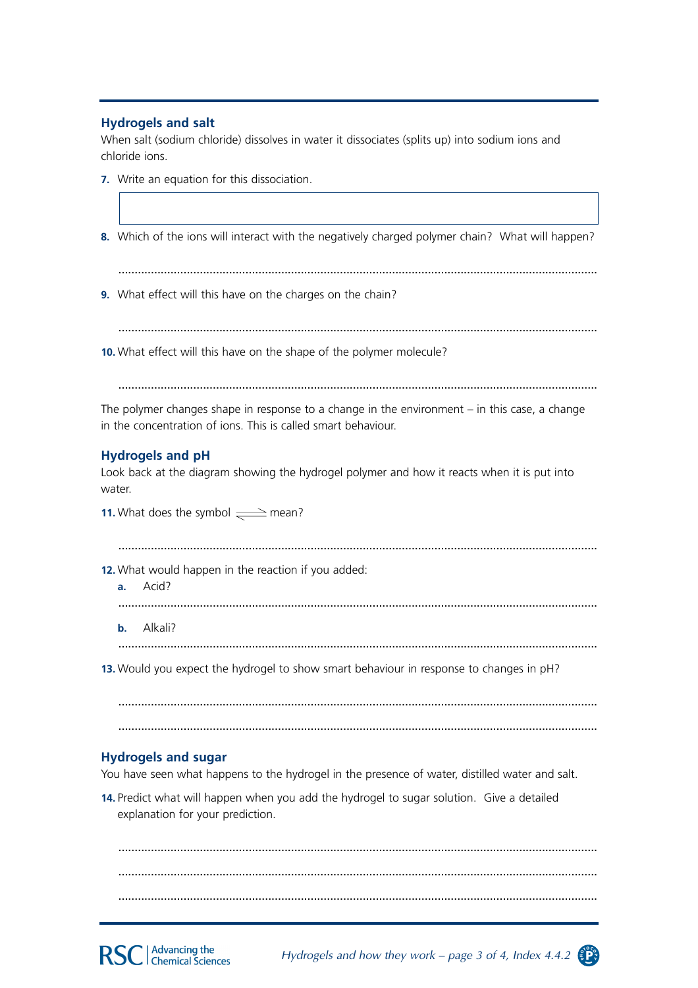## **Hydrogels and salt**

When salt (sodium chloride) dissolves in water it dissociates (splits up) into sodium ions and chloride ions.

- 7. Write an equation for this dissociation.
- 8. Which of the ions will interact with the negatively charged polymer chain? What will happen?

9. What effect will this have on the charges on the chain?

10. What effect will this have on the shape of the polymer molecule?

The polymer changes shape in response to a change in the environment  $-$  in this case, a change in the concentration of ions. This is called smart behaviour.

## **Hydrogels and pH**

Look back at the diagram showing the hydrogel polymer and how it reacts when it is put into water.

11. What does the symbol  $\implies$  mean?

12. What would happen in the reaction if you added:

a. Acid?

**b.** Alkali?

13. Would you expect the hydrogel to show smart behaviour in response to changes in pH?

## **Hydrogels and sugar**

You have seen what happens to the hydrogel in the presence of water, distilled water and salt.

14. Predict what will happen when you add the hydrogel to sugar solution. Give a detailed explanation for your prediction.

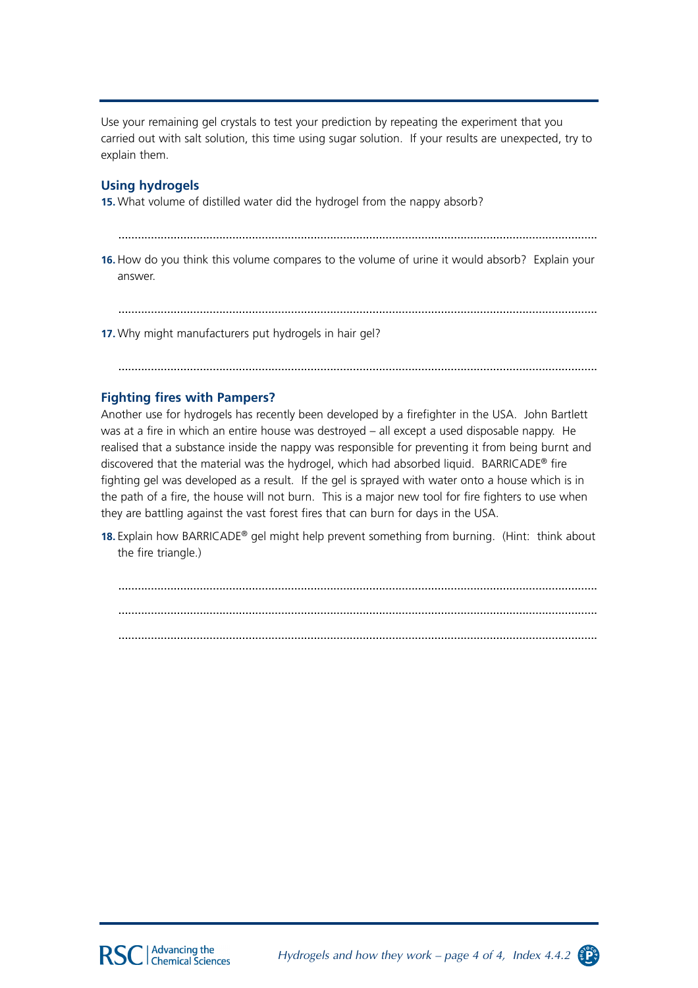Use your remaining gel crystals to test your prediction by repeating the experiment that you carried out with salt solution, this time using sugar solution. If your results are unexpected, try to explain them.

## **Using hydrogels**

15. What volume of distilled water did the hydrogel from the nappy absorb?

16. How do you think this volume compares to the volume of urine it would absorb? Explain your answer.

17. Why might manufacturers put hydrogels in hair gel?

## **Fighting fires with Pampers?**

Another use for hydrogels has recently been developed by a firefighter in the USA. John Bartlett was at a fire in which an entire house was destroved - all except a used disposable nappy. He realised that a substance inside the nappy was responsible for preventing it from being burnt and discovered that the material was the hydrogel, which had absorbed liquid. BARRICADE<sup>®</sup> fire fighting gel was developed as a result. If the gel is sprayed with water onto a house which is in the path of a fire, the house will not burn. This is a major new tool for fire fighters to use when they are battling against the vast forest fires that can burn for days in the USA.

18. Explain how BARRICADE® gel might help prevent something from burning. (Hint: think about the fire triangle.)

Hydrogels and how they work – page 4 of 4, Index 4.4.2

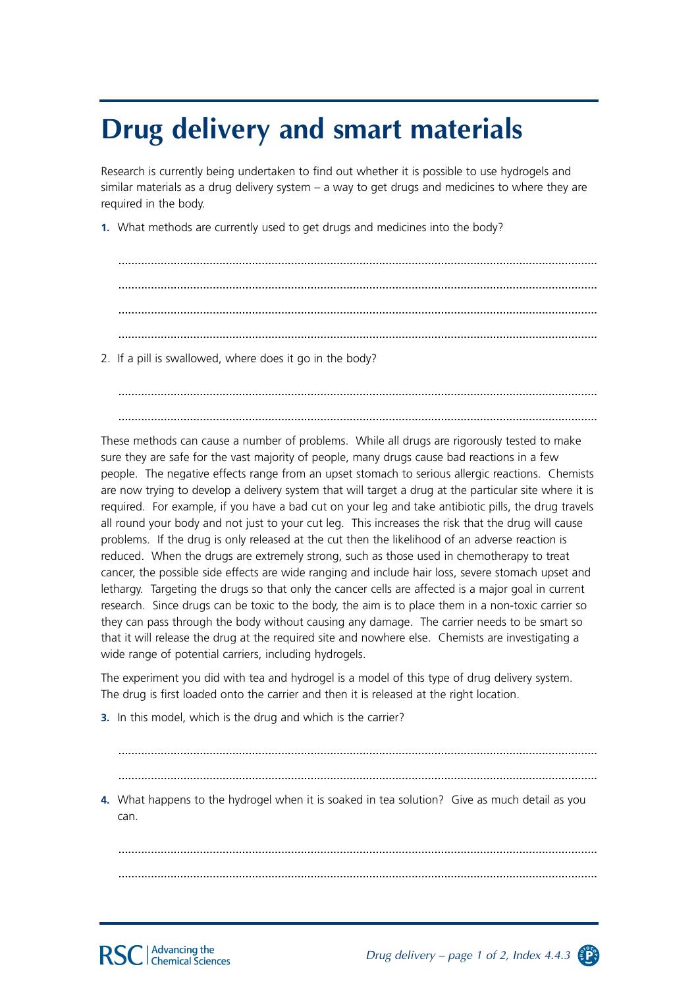## **Drug delivery and smart materials**

Research is currently being undertaken to find out whether it is possible to use hydrogels and similar materials as a drug delivery system – a way to get drugs and medicines to where they are required in the body.

**1.** What methods are currently used to get drugs and medicines into the body?

................................................................................................................................................... ................................................................................................................................................... ................................................................................................................................................... ...................................................................................................................................................

2. If a pill is swallowed, where does it go in the body?

................................................................................................................................................... ...................................................................................................................................................

These methods can cause a number of problems. While all drugs are rigorously tested to make sure they are safe for the vast majority of people, many drugs cause bad reactions in a few people. The negative effects range from an upset stomach to serious allergic reactions. Chemists are now trying to develop a delivery system that will target a drug at the particular site where it is required. For example, if you have a bad cut on your leg and take antibiotic pills, the drug travels all round your body and not just to your cut leg. This increases the risk that the drug will cause problems. If the drug is only released at the cut then the likelihood of an adverse reaction is reduced. When the drugs are extremely strong, such as those used in chemotherapy to treat cancer, the possible side effects are wide ranging and include hair loss, severe stomach upset and lethargy. Targeting the drugs so that only the cancer cells are affected is a major goal in current research. Since drugs can be toxic to the body, the aim is to place them in a non-toxic carrier so they can pass through the body without causing any damage. The carrier needs to be smart so that it will release the drug at the required site and nowhere else. Chemists are investigating a wide range of potential carriers, including hydrogels.

The experiment you did with tea and hydrogel is a model of this type of drug delivery system. The drug is first loaded onto the carrier and then it is released at the right location.

**3.** In this model, which is the drug and which is the carrier?

................................................................................................................................................... ...................................................................................................................................................

**4.** What happens to the hydrogel when it is soaked in tea solution? Give as much detail as you can.

................................................................................................................................................... ...................................................................................................................................................